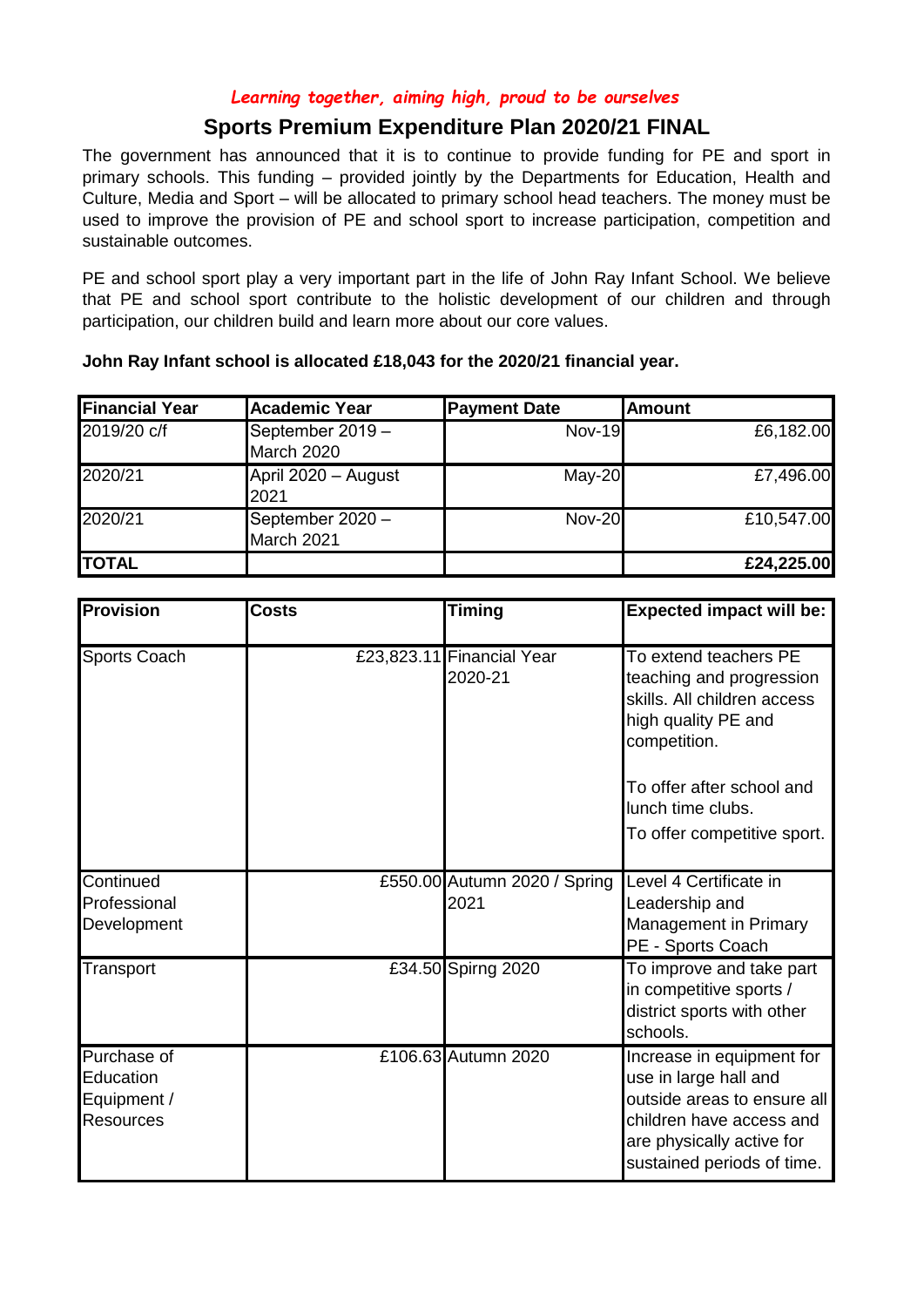## *Learning together, aiming high, proud to be ourselves*

## **Sports Premium Expenditure Plan 2020/21 FINAL**

The government has announced that it is to continue to provide funding for PE and sport in primary schools. This funding – provided jointly by the Departments for Education, Health and Culture, Media and Sport – will be allocated to primary school head teachers. The money must be used to improve the provision of PE and school sport to increase participation, competition and sustainable outcomes.

PE and school sport play a very important part in the life of John Ray Infant School. We believe that PE and school sport contribute to the holistic development of our children and through participation, our children build and learn more about our core values.

| <b>Financial Year</b> | Academic Year                    | <b>Payment Date</b> | <b>Amount</b> |
|-----------------------|----------------------------------|---------------------|---------------|
| 2019/20 c/f           | September $2019 -$<br>March 2020 | Nov-19              | £6,182.00     |
| 2020/21               | April 2020 - August<br>2021      | $May-20$            | £7,496.00     |
| 2020/21               | September 2020 -<br>March 2021   | $Nov-20$            | £10,547.00    |
| <b>TOTAL</b>          |                                  |                     | £24,225.00    |

| John Ray Infant school is allocated £18,043 for the 2020/21 financial year. |  |
|-----------------------------------------------------------------------------|--|
|-----------------------------------------------------------------------------|--|

| Provision                                                   | <b>Costs</b> | <b>Timing</b>                        | <b>Expected impact will be:</b>                                                                                                                                          |
|-------------------------------------------------------------|--------------|--------------------------------------|--------------------------------------------------------------------------------------------------------------------------------------------------------------------------|
| Sports Coach                                                |              | £23,823.11 Financial Year<br>2020-21 | To extend teachers PE<br>teaching and progression<br>skills. All children access<br>high quality PE and<br>competition.                                                  |
|                                                             |              |                                      | To offer after school and<br>lunch time clubs.<br>To offer competitive sport.                                                                                            |
| Continued<br>Professional<br>Development                    |              | £550.00 Autumn 2020 / Spring<br>2021 | Level 4 Certificate in<br>Leadership and<br>Management in Primary<br>PE - Sports Coach                                                                                   |
| Transport                                                   |              | £34.50 Spirng 2020                   | To improve and take part<br>in competitive sports /<br>district sports with other<br>schools.                                                                            |
| Purchase of<br>Education<br>Equipment /<br><b>Resources</b> |              | £106.63 Autumn 2020                  | Increase in equipment for<br>use in large hall and<br>outside areas to ensure all<br>children have access and<br>are physically active for<br>sustained periods of time. |